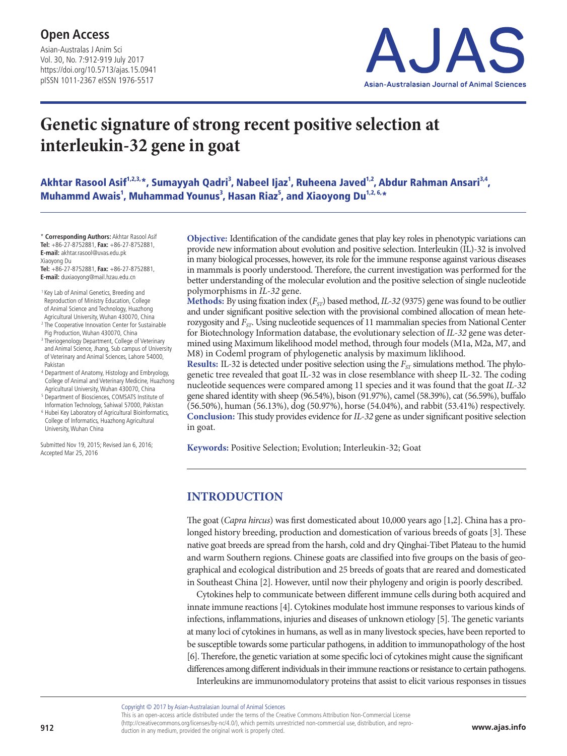Asian-Australas J Anim Sci Vol. 30, No. 7:912-919 July 2017 https://doi.org/10.5713/ajas.15.0941 pISSN 1011-2367 eISSN 1976-5517



# **Genetic signature of strong recent positive selection at interleukin-32 gene in goat**

Akhtar Rasool Asif<sup>1,2,3,</sup>\*, Sumayyah Qadri<sup>3</sup>, Nabeel Ijaz<sup>1</sup>, Ruheena Javed<sup>1,2</sup>, Abdur Rahman Ansari<sup>3,4</sup>, Muhammd Awais<sup>1</sup>, Muhammad Younus<sup>3</sup>, Hasan Riaz<sup>5</sup>, and Xiaoyong Du<sup>1,2, 6,</sup>\*

\* **Corresponding Authors:** Akhtar Rasool Asif **Tel:** +86-27-8752881, **Fax:** +86-27-8752881, **E-mail:** akhtar.rasool@uvas.edu.pk Xiaoyong Du

**Tel:** +86-27-8752881, **Fax:** +86-27-8752881, **E-mail:** duxiaoyong@mail.hzau.edu.cn

- <sup>1</sup> Key Lab of Animal Genetics, Breeding and Reproduction of Ministry Education, College of Animal Science and Technology, Huazhong Agricultural University, Wuhan 430070, China
- <sup>2</sup> The Cooperative Innovation Center for Sustainable Pig Production, Wuhan 430070, China
- <sup>3</sup> Theriogenology Department, College of Veterinary
- and Animal Science, Jhang, Sub campus of University of Veterinary and Animal Sciences, Lahore 54000, Pakistan <sup>4</sup> Department of Anatomy, Histology and Embryology,
- College of Animal and Veterinary Medicine, Huazhong Agricultural University, Wuhan 430070, China <sup>5</sup> Department of Biosciences, COMSATS Institute of
- Information Technology, Sahiwal 57000, Pakistan <sup>6</sup> Hubei Key Laboratory of Agricultural Bioinformatics,
- College of Informatics, Huazhong Agricultural University, Wuhan China

Submitted Nov 19, 2015; Revised Jan 6, 2016; Accepted Mar 25, 2016

**Objective:** Identification of the candidate genes that play key roles in phenotypic variations can provide new information about evolution and positive selection. Interleukin (IL)-32 is involved in many biological processes, however, its role for the immune response against various diseases in mammals is poorly understood. Therefore, the current investigation was performed for the better understanding of the molecular evolution and the positive selection of single nucleotide polymorphisms in *IL-32* gene.

**Methods:** By using fixation index  $(F_{ST})$  based method, *IL-32* (9375) gene was found to be outlier and under significant positive selection with the provisional combined allocation of mean heterozygosity and *FST*. Using nucleotide sequences of 11 mammalian species from National Center for Biotechnology Information database, the evolutionary selection of *IL-32* gene was determined using Maximum likelihood model method, through four models (M1a, M2a, M7, and M8) in Codeml program of phylogenetic analysis by maximum liklihood.

**Results:** IL-32 is detected under positive selection using the  $F_{ST}$  simulations method. The phylogenetic tree revealed that goat IL-32 was in close resemblance with sheep IL-32. The coding nucleotide sequences were compared among 11 species and it was found that the goat *IL-32* gene shared identity with sheep (96.54%), bison (91.97%), camel (58.39%), cat (56.59%), buffalo (56.50%), human (56.13%), dog (50.97%), horse (54.04%), and rabbit (53.41%) respectively. **Conclusion:** This study provides evidence for *IL-32* gene as under significant positive selection in goat.

**Keywords:** Positive Selection; Evolution; Interleukin-32; Goat

## **INTRODUCTION**

The goat (*Capra hircus*) was first domesticated about 10,000 years ago [1,2]. China has a prolonged history breeding, production and domestication of various breeds of goats [3]. These native goat breeds are spread from the harsh, cold and dry Qinghai-Tibet Plateau to the humid and warm Southern regions. Chinese goats are classified into five groups on the basis of geographical and ecological distribution and 25 breeds of goats that are reared and domesticated in Southeast China [2]. However, until now their phylogeny and origin is poorly described.

Cytokines help to communicate between different immune cells during both acquired and innate immune reactions [4]. Cytokines modulate host immune responses to various kinds of infections, inflammations, injuries and diseases of unknown etiology [5]. The genetic variants at many loci of cytokines in humans, as well as in many livestock species, have been reported to be susceptible towards some particular pathogens, in addition to immunopathology of the host [6]. Therefore, the genetic variation at some specific loci of cytokines might cause the significant differences among different individuals in their immune reactions or resistance to certain pathogens. Interleukins are immunomodulatory proteins that assist to elicit various responses in tissues

Copyright © 2017 by Asian-Australasian Journal of Animal Sciences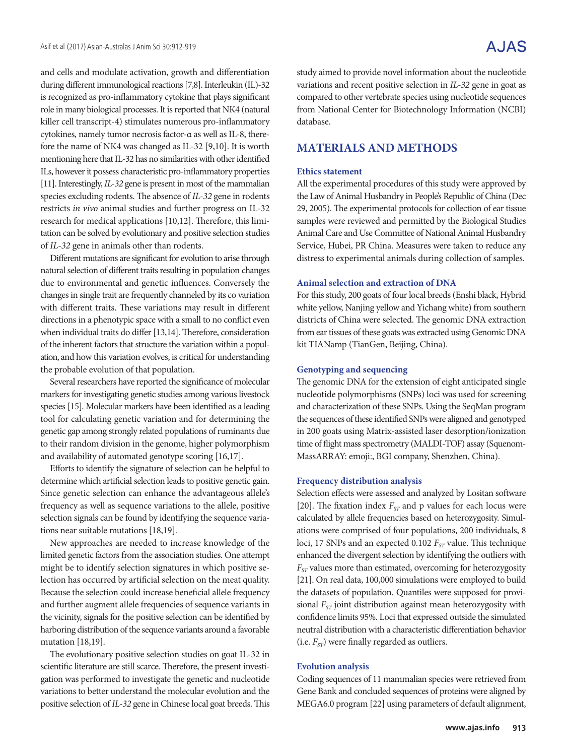and cells and modulate activation, growth and differentiation during different immunological reactions [7,8]. Interleukin (IL)-32 is recognized as pro-inflammatory cytokine that plays significant role in many biological processes. It is reported that NK4 (natural killer cell transcript-4) stimulates numerous pro-inflammatory cytokines, namely tumor necrosis factor-α as well as IL-8, therefore the name of NK4 was changed as IL-32 [9,10]. It is worth mentioning here that IL-32 has no similarities with other identified ILs, however it possess characteristic pro-inflammatory properties [11]. Interestingly, *IL-32* gene is present in most of the mammalian species excluding rodents. The absence of *IL-32* gene in rodents restricts *in vivo* animal studies and further progress on IL-32 research for medical applications [10,12]. Therefore, this limitation can be solved by evolutionary and positive selection studies of *IL-32* gene in animals other than rodents.

Different mutations are significant for evolution to arise through natural selection of different traits resulting in population changes due to environmental and genetic influences. Conversely the changes in single trait are frequently channeled by its co variation with different traits. These variations may result in different directions in a phenotypic space with a small to no conflict even when individual traits do differ [13,14]. Therefore, consideration of the inherent factors that structure the variation within a population, and how this variation evolves, is critical for understanding the probable evolution of that population.

Several researchers have reported the significance of molecular markers for investigating genetic studies among various livestock species [15]. Molecular markers have been identified as a leading tool for calculating genetic variation and for determining the genetic gap among strongly related populations of ruminants due to their random division in the genome, higher polymorphism and availability of automated genotype scoring [16,17].

Efforts to identify the signature of selection can be helpful to determine which artificial selection leads to positive genetic gain. Since genetic selection can enhance the advantageous allele's frequency as well as sequence variations to the allele, positive selection signals can be found by identifying the sequence variations near suitable mutations [18,19].

New approaches are needed to increase knowledge of the limited genetic factors from the association studies. One attempt might be to identify selection signatures in which positive selection has occurred by artificial selection on the meat quality. Because the selection could increase beneficial allele frequency and further augment allele frequencies of sequence variants in the vicinity, signals for the positive selection can be identified by harboring distribution of the sequence variants around a favorable mutation [18,19].

The evolutionary positive selection studies on goat IL-32 in scientific literature are still scarce. Therefore, the present investigation was performed to investigate the genetic and nucleotide variations to better understand the molecular evolution and the positive selection of *IL-32* gene in Chinese local goat breeds. This study aimed to provide novel information about the nucleotide variations and recent positive selection in *IL-32* gene in goat as compared to other vertebrate species using nucleotide sequences from National Center for Biotechnology Information (NCBI) database.

## **MATERIALS AND METHODS**

#### **Ethics statement**

All the experimental procedures of this study were approved by the Law of Animal Husbandry in People's Republic of China (Dec 29, 2005). The experimental protocols for collection of ear tissue samples were reviewed and permitted by the Biological Studies Animal Care and Use Committee of National Animal Husbandry Service, Hubei, PR China. Measures were taken to reduce any distress to experimental animals during collection of samples.

#### **Animal selection and extraction of DNA**

For this study, 200 goats of four local breeds (Enshi black, Hybrid white yellow, Nanjing yellow and Yichang white) from southern districts of China were selected. The genomic DNA extraction from ear tissues of these goats was extracted using Genomic DNA kit TIANamp (TianGen, Beijing, China).

#### **Genotyping and sequencing**

The genomic DNA for the extension of eight anticipated single nucleotide polymorphisms (SNPs) loci was used for screening and characterization of these SNPs. Using the SeqMan program the sequences of these identified SNPs were aligned and genotyped in 200 goats using Matrix-assisted laser desorption/ionization time of flight mass spectrometry (MALDI-TOF) assay (Squenom-MassARRAY: emoji:, BGI company, Shenzhen, China).

#### **Frequency distribution analysis**

Selection effects were assessed and analyzed by Lositan software [20]. The fixation index  $F_{ST}$  and p values for each locus were calculated by allele frequencies based on heterozygosity. Simulations were comprised of four populations, 200 individuals, 8 loci, 17 SNPs and an expected 0.102 *F<sub>ST</sub>* value. This technique enhanced the divergent selection by identifying the outliers with *FST* values more than estimated, overcoming for heterozygosity [21]. On real data, 100,000 simulations were employed to build the datasets of population. Quantiles were supposed for provisional *F<sub>ST</sub>* joint distribution against mean heterozygosity with confidence limits 95%. Loci that expressed outside the simulated neutral distribution with a characteristic differentiation behavior (i.e.  $F_{ST}$ ) were finally regarded as outliers.

#### **Evolution analysis**

Coding sequences of 11 mammalian species were retrieved from Gene Bank and concluded sequences of proteins were aligned by MEGA6.0 program [22] using parameters of default alignment,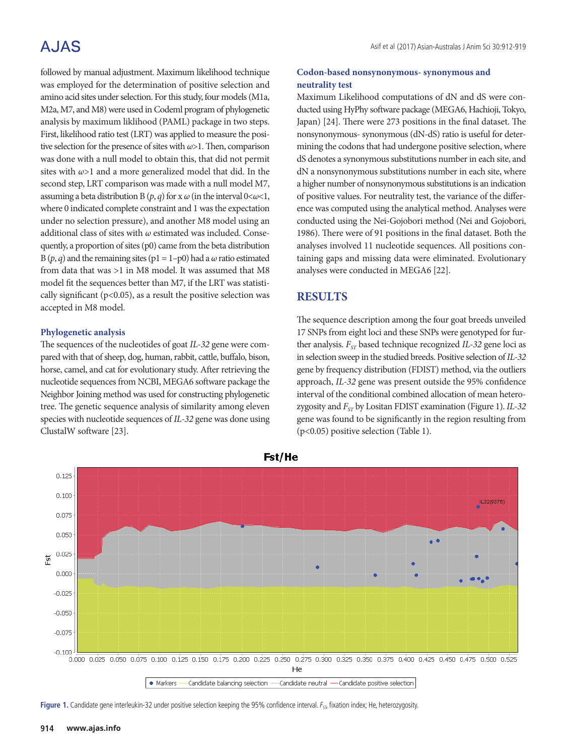## A.JAS

followed by manual adjustment. Maximum likelihood technique was employed for the determination of positive selection and amino acid sites under selection. For this study, four models (M1a, M2a, M7, and M8) were used in Codeml program of phylogenetic analysis by maximum liklihood (PAML) package in two steps. First, likelihood ratio test (LRT) was applied to measure the positive selection for the presence of sites with *ω*>1. Then, comparison was done with a null model to obtain this, that did not permit sites with *ω*>1 and a more generalized model that did. In the second step, LRT comparison was made with a null model M7, assuming a beta distribution B  $(p, q)$  for x  $\omega$  (in the interval  $0 < \omega < 1$ , where 0 indicated complete constraint and 1 was the expectation under no selection pressure), and another M8 model using an additional class of sites with *ω* estimated was included. Consequently, a proportion of sites (p0) came from the beta distribution B  $(p, q)$  and the remaining sites  $(p1 = 1-p0)$  had a  $\omega$  ratio estimated from data that was >1 in M8 model. It was assumed that M8 model fit the sequences better than M7, if the LRT was statistically significant ( $p$ <0.05), as a result the positive selection was accepted in M8 model.

#### **Phylogenetic analysis**

The sequences of the nucleotides of goat *IL-32* gene were compared with that of sheep, dog, human, rabbit, cattle, buffalo, bison, horse, camel, and cat for evolutionary study. After retrieving the nucleotide sequences from NCBI, MEGA6 software package the Neighbor Joining method was used for constructing phylogenetic tree. The genetic sequence analysis of similarity among eleven species with nucleotide sequences of *IL-32* gene was done using ClustalW software [23].

#### **Codon-based nonsynonymous- synonymous and neutrality test**

Maximum Likelihood computations of dN and dS were conducted using HyPhy software package (MEGA6, Hachioji, Tokyo, Japan) [24]. There were 273 positions in the final dataset. The nonsynonymous- synonymous (dN-dS) ratio is useful for determining the codons that had undergone positive selection, where dS denotes a synonymous substitutions number in each site, and dN a nonsynonymous substitutions number in each site, where a higher number of nonsynonymous substitutions is an indication of positive values. For neutrality test, the variance of the difference was computed using the analytical method. Analyses were conducted using the Nei-Gojobori method (Nei and Gojobori, 1986). There were of 91 positions in the final dataset. Both the analyses involved 11 nucleotide sequences. All positions containing gaps and missing data were eliminated. Evolutionary analyses were conducted in MEGA6 [22].

## **RESULTS**

The sequence description among the four goat breeds unveiled 17 SNPs from eight loci and these SNPs were genotyped for further analysis.  $F_{ST}$  based technique recognized *IL-32* gene loci as in selection sweep in the studied breeds. Positive selection of *IL-32* gene by frequency distribution (FDIST) method, via the outliers approach, *IL-32* gene was present outside the 95% confidence interval of the conditional combined allocation of mean heterozygosity and *FST* by Lositan FDIST examination (Figure 1). *IL-32* gene was found to be significantly in the region resulting from (p<0.05) positive selection (Table 1).



Fst/He

Figure 1. Candidate gene interleukin-32 under positive selection keeping the 95% confidence interval. F<sub>SI</sub>, fixation index; He, heterozygosity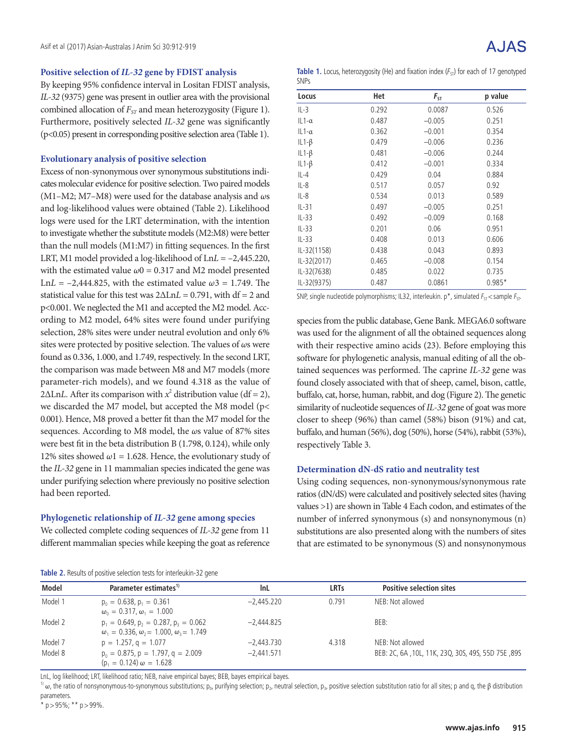#### **Positive selection of** *IL-32* **gene by FDIST analysis**

By keeping 95% confidence interval in Lositan FDIST analysis, *IL-32* (9375) gene was present in outlier area with the provisional combined allocation of *F<sub>ST</sub>* and mean heterozygosity (Figure 1). Furthermore, positively selected *IL-32* gene was significantly (p<0.05) present in corresponding positive selection area (Table 1).

#### **Evolutionary analysis of positive selection**

Excess of non-synonymous over synonymous substitutions indicates molecular evidence for positive selection. Two paired models (M1–M2; M7–M8) were used for the database analysis and *ω*s and log-likelihood values were obtained (Table 2). Likelihood logs were used for the LRT determination, with the intention to investigate whether the substitute models (M2:M8) were better than the null models (M1:M7) in fitting sequences. In the first LRT, M1 model provided a log-likelihood of Ln*L* = –2,445.220, with the estimated value  $\omega$ 0 = 0.317 and M2 model presented Ln*L* = –2,444.825, with the estimated value *ω*3 = 1.749. The statistical value for this test was 2ΔLn*L* = 0.791, with df = 2 and p<0.001. We neglected the M1 and accepted the M2 model. According to M2 model, 64% sites were found under purifying selection, 28% sites were under neutral evolution and only 6% sites were protected by positive selection. The values of *ω*s were found as 0.336, 1.000, and 1.749, respectively. In the second LRT, the comparison was made between M8 and M7 models (more parameter-rich models), and we found 4.318 as the value of  $2\Delta$ Ln*L*. After its comparison with  $x^2$  distribution value (df = 2), we discarded the M7 model, but accepted the M8 model (p< 0.001). Hence, M8 proved a better fit than the M7 model for the sequences. According to M8 model, the *ω*s value of 87% sites were best fit in the beta distribution B (1.798, 0.124), while only 12% sites showed  $\omega$ 1 = 1.628. Hence, the evolutionary study of the *IL-32* gene in 11 mammalian species indicated the gene was under purifying selection where previously no positive selection had been reported.

#### **Phylogenetic relationship of** *IL-32* **gene among species**

We collected complete coding sequences of *IL-32* gene from 11 different mammalian species while keeping the goat as reference

| <b>AJAS</b> |
|-------------|
|             |

**Table 1.** Locus, heterozygosity (He) and fixation index  $(F_{ST})$  for each of 17 genotyped SNPs

| Locus         | Het   | $F_{ST}$ | p value  |
|---------------|-------|----------|----------|
| $IL-3$        | 0.292 | 0.0087   | 0.526    |
| $IL1-\alpha$  | 0.487 | $-0.005$ | 0.251    |
| $IL1-\alpha$  | 0.362 | $-0.001$ | 0.354    |
| IL1- $\beta$  | 0.479 | $-0.006$ | 0.236    |
| IL1- $\beta$  | 0.481 | $-0.006$ | 0.244    |
| $IL1-\beta$   | 0.412 | $-0.001$ | 0.334    |
| $IL-4$        | 0.429 | 0.04     | 0.884    |
| $IL-8$        | 0.517 | 0.057    | 0.92     |
| $IL-8$        | 0.534 | 0.013    | 0.589    |
| $IL-31$       | 0.497 | $-0.005$ | 0.251    |
| $IL-33$       | 0.492 | $-0.009$ | 0.168    |
| $IL-33$       | 0.201 | 0.06     | 0.951    |
| $IL-33$       | 0.408 | 0.013    | 0.606    |
| $IL-32(1158)$ | 0.438 | 0.043    | 0.893    |
| IL-32(2017)   | 0.465 | $-0.008$ | 0.154    |
| IL-32(7638)   | 0.485 | 0.022    | 0.735    |
| IL-32(9375)   | 0.487 | 0.0861   | $0.985*$ |

SNP, single nucleotide polymorphisms; IL32, interleukin. p\*, simulated  $F_{ST}$  < sample  $F_{ST}$ .

species from the public database, Gene Bank. MEGA6.0 software was used for the alignment of all the obtained sequences along with their respective amino acids (23). Before employing this software for phylogenetic analysis, manual editing of all the obtained sequences was performed. The caprine *IL-32* gene was found closely associated with that of sheep, camel, bison, cattle, buffalo, cat, horse, human, rabbit, and dog (Figure 2). The genetic similarity of nucleotide sequences of *IL-32* gene of goat was more closer to sheep (96%) than camel (58%) bison (91%) and cat, buffalo, and human (56%), dog (50%), horse (54%), rabbit (53%), respectively Table 3.

#### **Determination dN-dS ratio and neutrality test**

Using coding sequences, non-synonymous/synonymous rate ratios (dN/dS) were calculated and positively selected sites (having values >1) are shown in Table 4 Each codon, and estimates of the number of inferred synonymous (s) and nonsynonymous (n) substitutions are also presented along with the numbers of sites that are estimated to be synonymous (S) and nonsynonymous

| <b>TODIC 2.</b> INCREDIO OF POSITIVE SCIELED IT RESED TO THE FIGHT SET GET C |                                                                                                               |              |             |                                                    |  |  |  |  |  |  |
|------------------------------------------------------------------------------|---------------------------------------------------------------------------------------------------------------|--------------|-------------|----------------------------------------------------|--|--|--|--|--|--|
| Model                                                                        | Parameter estimates <sup>1)</sup>                                                                             | InL          | <b>LRTs</b> | <b>Positive selection sites</b>                    |  |  |  |  |  |  |
| Model 1                                                                      | $p_0 = 0.638$ , $p_1 = 0.361$<br>$\omega_0 = 0.317$ , $\omega_1 = 1.000$                                      | $-2.445.220$ | 0.791       | NEB: Not allowed                                   |  |  |  |  |  |  |
| Model 2                                                                      | $p_1 = 0.649$ , $p_2 = 0.287$ , $p_3 = 0.062$<br>$\omega_1 = 0.336$ , $\omega_2 = 1.000$ , $\omega_3 = 1.749$ | $-2.444.825$ |             | BEB:                                               |  |  |  |  |  |  |
| Model 7                                                                      | $p = 1.257$ , $q = 1.077$                                                                                     | $-2.443.730$ | 4.318       | NEB: Not allowed                                   |  |  |  |  |  |  |
| Model 8                                                                      | $p_0 = 0.875$ , $p = 1.797$ , $q = 2.009$<br>$(p_1 = 0.124) \omega = 1.628$                                   | $-2.441.571$ |             | BEB: 2C, 6A, 10L, 11K, 23Q, 30S, 49S, 55D 75E, 89S |  |  |  |  |  |  |

**Table 2.** Results of positive selection tests for interleukin-32 gene

LnL, log likelihood; LRT, likelihood ratio; NEB, naive empirical bayes; BEB, bayes empirical bayes.

<sup>1)</sup> ω, the ratio of nonsynonymous-to-synonymous substitutions; p<sub>0</sub>, purifying selection; p<sub>2</sub>, neutral selection, p<sub>3</sub>, positive selection substitution ratio for all sites; p and q, the β distribution parameters.

\* p > 95%; \*\* p > 99%.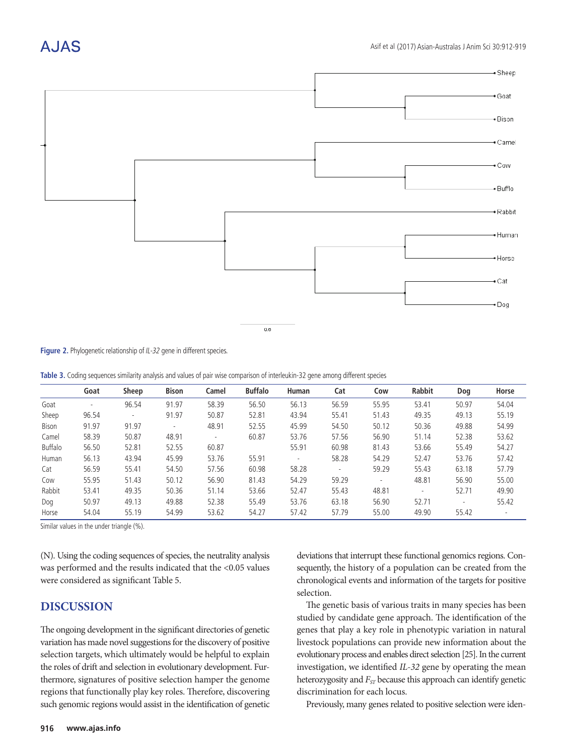## A.IAS



**Figure 2.** Phylogenetic relationship of IL-32 gene in different species.

Table 3. Coding sequences similarity analysis and values of pair wise comparison of interleukin-32 gene among different species

|              | Goat  | Sheep  | <b>Bison</b>   | Camel                    | <b>Buffalo</b> | <b>Human</b> | Cat                      | Cow      | <b>Rabbit</b> | Dog    | Horse                    |
|--------------|-------|--------|----------------|--------------------------|----------------|--------------|--------------------------|----------|---------------|--------|--------------------------|
| Goat         | ۰     | 96.54  | 91.97          | 58.39                    | 56.50          | 56.13        | 56.59                    | 55.95    | 53.41         | 50.97  | 54.04                    |
| Sheep        | 96.54 | $\sim$ | 91.97          | 50.87                    | 52.81          | 43.94        | 55.41                    | 51.43    | 49.35         | 49.13  | 55.19                    |
| <b>Bison</b> | 91.97 | 91.97  | $\blacksquare$ | 48.91                    | 52.55          | 45.99        | 54.50                    | 50.12    | 50.36         | 49.88  | 54.99                    |
| Camel        | 58.39 | 50.87  | 48.91          | $\overline{\phantom{a}}$ | 60.87          | 53.76        | 57.56                    | 56.90    | 51.14         | 52.38  | 53.62                    |
| Buffalo      | 56.50 | 52.81  | 52.55          | 60.87                    |                | 55.91        | 60.98                    | 81.43    | 53.66         | 55.49  | 54.27                    |
| Human        | 56.13 | 43.94  | 45.99          | 53.76                    | 55.91          | $\sim$       | 58.28                    | 54.29    | 52.47         | 53.76  | 57.42                    |
| Cat          | 56.59 | 55.41  | 54.50          | 57.56                    | 60.98          | 58.28        | $\overline{\phantom{a}}$ | 59.29    | 55.43         | 63.18  | 57.79                    |
| Cow          | 55.95 | 51.43  | 50.12          | 56.90                    | 81.43          | 54.29        | 59.29                    | $\omega$ | 48.81         | 56.90  | 55.00                    |
| Rabbit       | 53.41 | 49.35  | 50.36          | 51.14                    | 53.66          | 52.47        | 55.43                    | 48.81    | $\sim$        | 52.71  | 49.90                    |
| Dog          | 50.97 | 49.13  | 49.88          | 52.38                    | 55.49          | 53.76        | 63.18                    | 56.90    | 52.71         | $\sim$ | 55.42                    |
| Horse        | 54.04 | 55.19  | 54.99          | 53.62                    | 54.27          | 57.42        | 57.79                    | 55.00    | 49.90         | 55.42  | $\overline{\phantom{a}}$ |
|              |       |        |                |                          |                |              |                          |          |               |        |                          |

Similar values in the under triangle (%).

(N). Using the coding sequences of species, the neutrality analysis was performed and the results indicated that the <0.05 values were considered as significant Table 5.

## **DISCUSSION**

The ongoing development in the significant directories of genetic variation has made novel suggestions for the discovery of positive selection targets, which ultimately would be helpful to explain the roles of drift and selection in evolutionary development. Furthermore, signatures of positive selection hamper the genome regions that functionally play key roles. Therefore, discovering such genomic regions would assist in the identification of genetic deviations that interrupt these functional genomics regions. Consequently, the history of a population can be created from the chronological events and information of the targets for positive selection.

The genetic basis of various traits in many species has been studied by candidate gene approach. The identification of the genes that play a key role in phenotypic variation in natural livestock populations can provide new information about the evolutionary process and enables direct selection [25]. In the current investigation, we identified *IL-32* gene by operating the mean heterozygosity and  $F_{\rm\scriptscriptstyle ST}$  because this approach can identify genetic discrimination for each locus.

Previously, many genes related to positive selection were iden-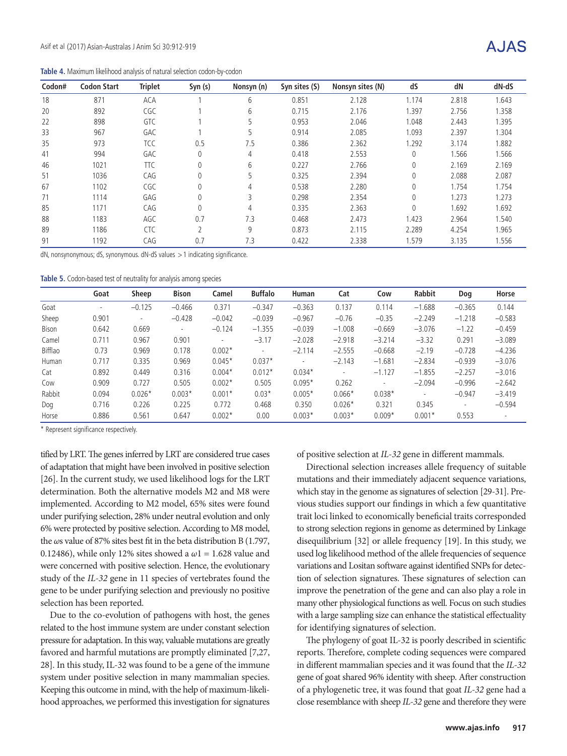**Table 4.** Maximum likelihood analysis of natural selection codon-by-codon

| Codon# | <b>Codon Start</b> | <b>Triplet</b> | Syn (s)        | Nonsyn (n) | Syn sites (S) | Nonsyn sites (N) | dS       | dN    | dN-dS |
|--------|--------------------|----------------|----------------|------------|---------------|------------------|----------|-------|-------|
| 18     | 871                | ACA            |                | 6          | 0.851         | 2.128            | 1.174    | 2.818 | 1.643 |
| 20     | 892                | CGC            |                | 6          | 0.715         | 2.176            | .397     | 2.756 | 1.358 |
| 22     | 898                | GTC            |                | 5          | 0.953         | 2.046            | 1.048    | 2.443 | 1.395 |
| 33     | 967                | GAC            |                | 5          | 0.914         | 2.085            | 1.093    | 2.397 | 1.304 |
| 35     | 973                | TCC            | 0.5            | 7.5        | 0.386         | 2.362            | 1.292    | 3.174 | 1.882 |
| 41     | 994                | GAC            | 0              | 4          | 0.418         | 2.553            | 0        | 1.566 | 1.566 |
| 46     | 1021               | <b>TTC</b>     | 0              | 6          | 0.227         | 2.766            | 0        | 2.169 | 2.169 |
| 51     | 1036               | CAG            | 0              | 5          | 0.325         | 2.394            | 0        | 2.088 | 2.087 |
| 67     | 1102               | CGC            | 0              | 4          | 0.538         | 2.280            | $\Omega$ | 1.754 | 1.754 |
| 71     | 1114               | GAG            | 0              | 3          | 0.298         | 2.354            | $\Omega$ | 1.273 | 1.273 |
| 85     | 1171               | CAG            | 0              | 4          | 0.335         | 2.363            | 0        | 1.692 | 1.692 |
| 88     | 1183               | AGC            | 0.7            | 7.3        | 0.468         | 2.473            | 1.423    | 2.964 | 1.540 |
| 89     | 1186               | <b>CTC</b>     | $\overline{2}$ | 9          | 0.873         | 2.115            | 2.289    | 4.254 | 1.965 |
| 91     | 1192               | CAG            | 0.7            | 7.3        | 0.422         | 2.338            | 1.579    | 3.135 | 1.556 |

dN, nonsynonymous; dS, synonymous. dN-dS values > 1 indicating significance.

**Table 5.** Codon-based test of neutrality for analysis among species

|              | Goat   | Sheep                    | <b>Bison</b> | Camel    | <b>Buffalo</b> | <b>Human</b>             | Cat      | Cow      | <b>Rabbit</b> | Dog      | Horse                    |
|--------------|--------|--------------------------|--------------|----------|----------------|--------------------------|----------|----------|---------------|----------|--------------------------|
| Goat         | $\sim$ | $-0.125$                 | $-0.466$     | 0.371    | $-0.347$       | $-0.363$                 | 0.137    | 0.114    | $-1.688$      | $-0.365$ | 0.144                    |
| Sheep        | 0.901  | $\overline{\phantom{a}}$ | $-0.428$     | $-0.042$ | $-0.039$       | $-0.967$                 | $-0.76$  | $-0.35$  | $-2.249$      | $-1.218$ | $-0.583$                 |
| <b>Bison</b> | 0.642  | 0.669                    |              | $-0.124$ | $-1.355$       | $-0.039$                 | $-1.008$ | $-0.669$ | $-3.076$      | $-1.22$  | $-0.459$                 |
| Camel        | 0.711  | 0.967                    | 0.901        | $\sim$   | $-3.17$        | $-2.028$                 | $-2.918$ | $-3.214$ | $-3.32$       | 0.291    | $-3.089$                 |
| Bifflao      | 0.73   | 0.969                    | 0.178        | $0.002*$ | $\sim$         | $-2.114$                 | $-2.555$ | $-0.668$ | $-2.19$       | $-0.728$ | $-4.236$                 |
| Human        | 0.717  | 0.335                    | 0.969        | $0.045*$ | $0.037*$       | $\overline{\phantom{a}}$ | $-2.143$ | $-1.681$ | $-2.834$      | $-0.939$ | $-3.076$                 |
| Cat          | 0.892  | 0.449                    | 0.316        | $0.004*$ | $0.012*$       | $0.034*$                 | $\sim$   | $-1.127$ | $-1.855$      | $-2.257$ | $-3.016$                 |
| Cow          | 0.909  | 0.727                    | 0.505        | $0.002*$ | 0.505          | $0.095*$                 | 0.262    | $\sim$   | $-2.094$      | $-0.996$ | $-2.642$                 |
| Rabbit       | 0.094  | $0.026*$                 | $0.003*$     | $0.001*$ | $0.03*$        | $0.005*$                 | $0.066*$ | $0.038*$ | $\sim$        | $-0.947$ | $-3.419$                 |
| Dog          | 0.716  | 0.226                    | 0.225        | 0.772    | 0.468          | 0.350                    | $0.026*$ | 0.321    | 0.345         | $\sim$   | $-0.594$                 |
| Horse        | 0.886  | 0.561                    | 0.647        | $0.002*$ | 0.00           | $0.003*$                 | $0.003*$ | $0.009*$ | $0.001*$      | 0.553    | $\overline{\phantom{a}}$ |

\* Represent significance respectively.

tified by LRT. The genes inferred by LRT are considered true cases of adaptation that might have been involved in positive selection [26]. In the current study, we used likelihood logs for the LRT determination. Both the alternative models M2 and M8 were implemented. According to M2 model, 65% sites were found under purifying selection, 28% under neutral evolution and only 6% were protected by positive selection. According to M8 model, the *ω*s value of 87% sites best fit in the beta distribution B (1.797, 0.12486), while only 12% sites showed a *ω*1 = 1.628 value and were concerned with positive selection. Hence, the evolutionary study of the *IL-32* gene in 11 species of vertebrates found the gene to be under purifying selection and previously no positive selection has been reported.

Due to the co-evolution of pathogens with host, the genes related to the host immune system are under constant selection pressure for adaptation. In this way, valuable mutations are greatly favored and harmful mutations are promptly eliminated [7,27, 28]. In this study, IL-32 was found to be a gene of the immune system under positive selection in many mammalian species. Keeping this outcome in mind, with the help of maximum-likelihood approaches, we performed this investigation for signatures of positive selection at *IL-32* gene in different mammals.

Directional selection increases allele frequency of suitable mutations and their immediately adjacent sequence variations, which stay in the genome as signatures of selection [29-31]. Previous studies support our findings in which a few quantitative trait loci linked to economically beneficial traits corresponded to strong selection regions in genome as determined by Linkage disequilibrium [32] or allele frequency [19]. In this study, we used log likelihood method of the allele frequencies of sequence variations and Lositan software against identified SNPs for detection of selection signatures. These signatures of selection can improve the penetration of the gene and can also play a role in many other physiological functions as well. Focus on such studies with a large sampling size can enhance the statistical effectuality for identifying signatures of selection.

The phylogeny of goat IL-32 is poorly described in scientific reports. Therefore, complete coding sequences were compared in different mammalian species and it was found that the *IL-32* gene of goat shared 96% identity with sheep. After construction of a phylogenetic tree, it was found that goat *IL-32* gene had a close resemblance with sheep *IL-32* gene and therefore they were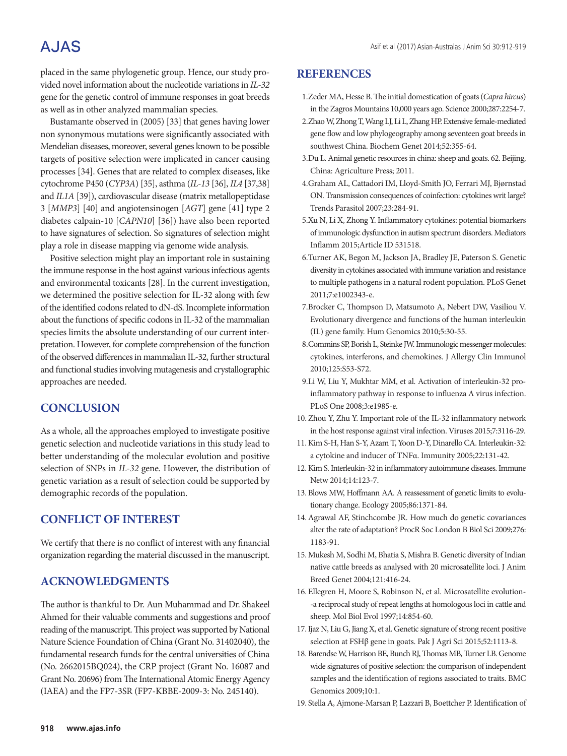## **AJAS**

placed in the same phylogenetic group. Hence, our study provided novel information about the nucleotide variations in *IL-32* gene for the genetic control of immune responses in goat breeds as well as in other analyzed mammalian species.

Bustamante observed in (2005) [33] that genes having lower non synonymous mutations were significantly associated with Mendelian diseases, moreover, several genes known to be possible targets of positive selection were implicated in cancer causing processes [34]. Genes that are related to complex diseases, like cytochrome P450 (*CYP3A*) [35], asthma (*IL-13* [36], *IL4* [37,38] and *IL1A* [39]), cardiovascular disease (matrix metallopeptidase 3 [*MMP3*] [40] and angiotensinogen [*AGT*] gene [41] type 2 diabetes calpain-10 [*CAPN10*] [36]) have also been reported to have signatures of selection. So signatures of selection might play a role in disease mapping via genome wide analysis.

Positive selection might play an important role in sustaining the immune response in the host against various infectious agents and environmental toxicants [28]. In the current investigation, we determined the positive selection for IL-32 along with few of the identified codons related to dN-dS. Incomplete information about the functions of specific codons in IL-32 of the mammalian species limits the absolute understanding of our current interpretation. However, for complete comprehension of the function of the observed differences in mammalian IL-32, further structural and functional studies involving mutagenesis and crystallographic approaches are needed.

## **CONCLUSION**

As a whole, all the approaches employed to investigate positive genetic selection and nucleotide variations in this study lead to better understanding of the molecular evolution and positive selection of SNPs in *IL-32* gene. However, the distribution of genetic variation as a result of selection could be supported by demographic records of the population.

## **CONFLICT OF INTEREST**

We certify that there is no conflict of interest with any financial organization regarding the material discussed in the manuscript.

## **ACKNOWLEDGMENTS**

The author is thankful to Dr. Aun Muhammad and Dr. Shakeel Ahmed for their valuable comments and suggestions and proof reading of the manuscript. This project was supported by National Nature Science Foundation of China (Grant No. 31402040), the fundamental research funds for the central universities of China (No. 2662015BQ024), the CRP project (Grant No. 16087 and Grant No. 20696) from The International Atomic Energy Agency (IAEA) and the FP7-3SR (FP7-KBBE-2009-3: No. 245140).

### **REFERENCES**

- 1.Zeder MA, Hesse B. The initial domestication of goats (*Capra hircus*) in the Zagros Mountains 10,000 years ago. Science 2000;287:2254-7.
- 2.Zhao W, Zhong T, Wang LJ, Li L, Zhang HP. Extensive female-mediated gene flow and low phylogeography among seventeen goat breeds in southwest China. Biochem Genet 2014;52:355-64.
- 3.Du L. Animal genetic resources in china: sheep and goats. 62. Beijing, China: Agriculture Press; 2011.
- 4.Graham AL, Cattadori IM, Lloyd-Smith JO, Ferrari MJ, Bjørnstad ON. Transmission consequences of coinfection: cytokines writ large? Trends Parasitol 2007;23:284-91.
- 5.Xu N, Li X, Zhong Y. Inflammatory cytokines: potential biomarkers of immunologic dysfunction in autism spectrum disorders. Mediators Inflamm 2015;Article ID 531518.
- 6.Turner AK, Begon M, Jackson JA, Bradley JE, Paterson S. Genetic diversity in cytokines associated with immune variation and resistance to multiple pathogens in a natural rodent population. PLoS Genet 2011;7:e1002343-e.
- 7.Brocker C, Thompson D, Matsumoto A, Nebert DW, Vasiliou V. Evolutionary divergence and functions of the human interleukin (IL) gene family. Hum Genomics 2010;5:30-55.
- 8.Commins SP, Borish L, Steinke JW. Immunologic messenger molecules: cytokines, interferons, and chemokines. J Allergy Clin Immunol 2010;125:S53-S72.
- 9.Li W, Liu Y, Mukhtar MM, et al. Activation of interleukin-32 proinflammatory pathway in response to influenza A virus infection. PLoS One 2008;3:e1985-e.
- 10. Zhou Y, Zhu Y. Important role of the IL-32 inflammatory network in the host response against viral infection. Viruses 2015;7:3116-29.
- 11.Kim S-H, Han S-Y, Azam T, Yoon D-Y, Dinarello CA. Interleukin-32: a cytokine and inducer of TNFα. Immunity 2005;22:131-42.
- 12.Kim S. Interleukin-32 in inflammatory autoimmune diseases. Immune Netw 2014;14:123-7.
- 13. Blows MW, Hoffmann AA. A reassessment of genetic limits to evolutionary change. Ecology 2005;86:1371-84.
- 14.Agrawal AF, Stinchcombe JR. How much do genetic covariances alter the rate of adaptation? ProcR Soc London B Biol Sci 2009;276: 1183-91.
- 15. Mukesh M, Sodhi M, Bhatia S, Mishra B. Genetic diversity of Indian native cattle breeds as analysed with 20 microsatellite loci. J Anim Breed Genet 2004;121:416-24.
- 16. Ellegren H, Moore S, Robinson N, et al. Microsatellite evolution- -a reciprocal study of repeat lengths at homologous loci in cattle and sheep. Mol Biol Evol 1997;14:854-60.
- 17.Ijaz N, Liu G, Jiang X, et al. Genetic signature of strong recent positive selection at FSHβ gene in goats. Pak J Agri Sci 2015;52:1113-8.
- 18. Barendse W, Harrison BE, Bunch RJ, Thomas MB, Turner LB. Genome wide signatures of positive selection: the comparison of independent samples and the identification of regions associated to traits. BMC Genomics 2009;10:1.
- 19. Stella A, Ajmone-Marsan P, Lazzari B, Boettcher P. Identification of